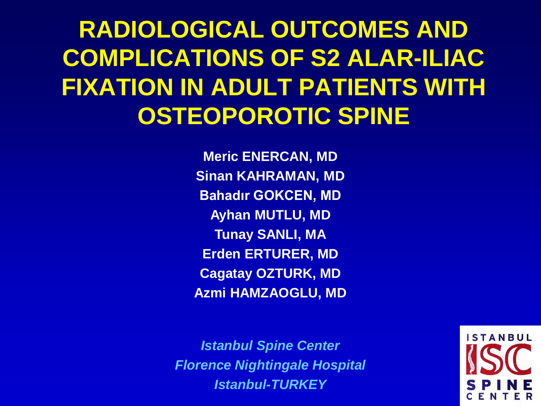### **RADIOLOGICAL OUTCOMES AND COMPLICATIONS OF S2 ALAR-ILIAC FIXATION IN ADULT PATIENTS WITH OSTEOPOROTIC SPINE**

**Meric ENERCAN, MD Sinan KAHRAMAN, MD Bahadır GOKCEN, MD Ayhan MUTLU, MD Tunay SANLI, MA Erden ERTURER, MD Cagatay OZTURK, MD Azmi HAMZAOGLU, MD**

*Istanbul Spine Center Florence Nightingale Hospital Istanbul-TURKEY*

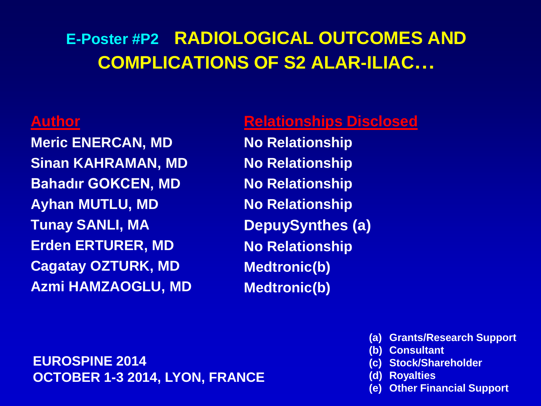#### **E-Poster #P2 RADIOLOGICAL OUTCOMES AND COMPLICATIONS OF S2 ALAR-ILIAC…**

#### **Author**

**Meric ENERCAN, MD Sinan KAHRAMAN, MD Bahadır GOKCEN, MD Ayhan MUTLU, MD Tunay SANLI, MA Erden ERTURER, MD Cagatay OZTURK, MD Azmi HAMZAOGLU, MD**

#### **Relationships Disclosed**

**No Relationship No Relationship No Relationship No Relationship DepuySynthes (a) No Relationship Medtronic(b) Medtronic(b)**

#### **EUROSPINE 2014 OCTOBER 1-3 2014, LYON, FRANCE**

- **(a) Grants/Research Support**
- **(b) Consultant**
- **(c) Stock/Shareholder**
- **(d) Royalties**
- **(e) Other Financial Support**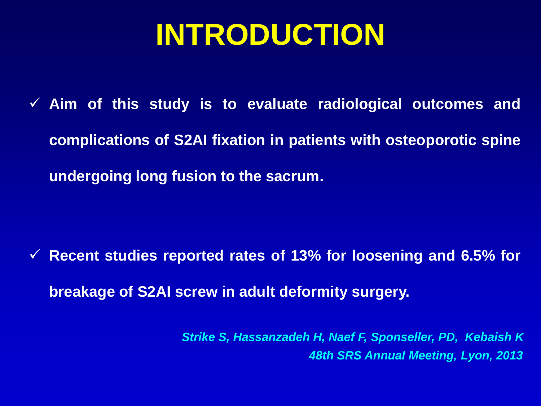## **INTRODUCTION**

 **Aim of this study is to evaluate radiological outcomes and complications of S2AI fixation in patients with osteoporotic spine undergoing long fusion to the sacrum.**

 **Recent studies reported rates of 13% for loosening and 6.5% for breakage of S2AI screw in adult deformity surgery.**

> *Strike S, Hassanzadeh H, Naef F, Sponseller, PD, Kebaish K 48th SRS Annual Meeting, Lyon, 2013*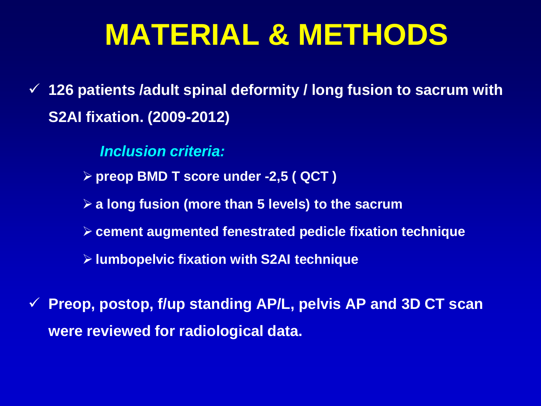## **MATERIAL & METHODS**

 **126 patients /adult spinal deformity / long fusion to sacrum with S2AI fixation. (2009-2012)**

*Inclusion criteria:*

- **preop BMD T score under -2,5 ( QCT )**
- **a long fusion (more than 5 levels) to the sacrum**
- **cement augmented fenestrated pedicle fixation technique**
- **lumbopelvic fixation with S2AI technique**
- **Preop, postop, f/up standing AP/L, pelvis AP and 3D CT scan were reviewed for radiological data.**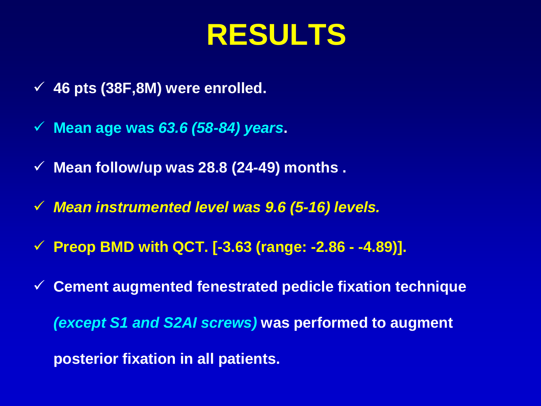## **RESULTS**

- **46 pts (38F,8M) were enrolled.**
- **Mean age was** *63.6 (58-84) years***.**
- **Mean follow/up was 28.8 (24-49) months .**
- *Mean instrumented level was 9.6 (5-16) levels.*
- **Preop BMD with QCT. [-3.63 (range: -2.86 - -4.89)].**

 **Cement augmented fenestrated pedicle fixation technique**  *(except S1 and S2AI screws)* **was performed to augment posterior fixation in all patients.**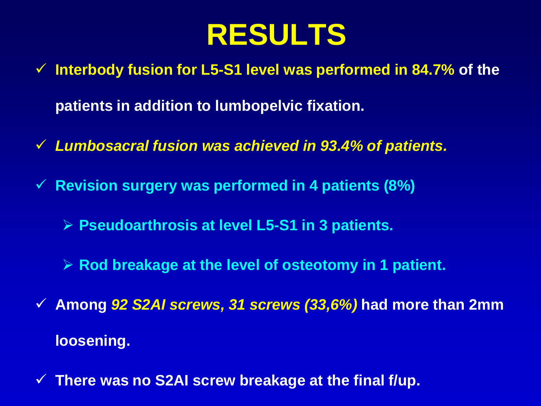## **RESULTS**

- **Interbody fusion for L5-S1 level was performed in 84.7% of the patients in addition to lumbopelvic fixation.**
- *Lumbosacral fusion was achieved in 93.4% of patients.*
- **Revision surgery was performed in 4 patients (8%)**
	- **Pseudoarthrosis at level L5-S1 in 3 patients.**
	- **Rod breakage at the level of osteotomy in 1 patient.**
- **Among** *92 S2AI screws, 31 screws (33,6%)* **had more than 2mm loosening.**
- **There was no S2AI screw breakage at the final f/up.**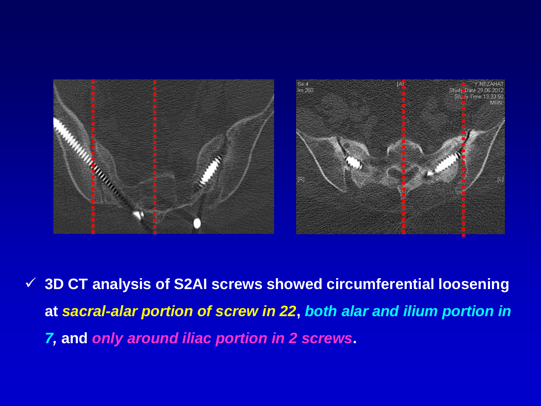

 **3D CT analysis of S2AI screws showed circumferential loosening at** *sacral-alar portion of screw in 22***,** *both alar and ilium portion in 7,* **and** *only around iliac portion in 2 screws***.**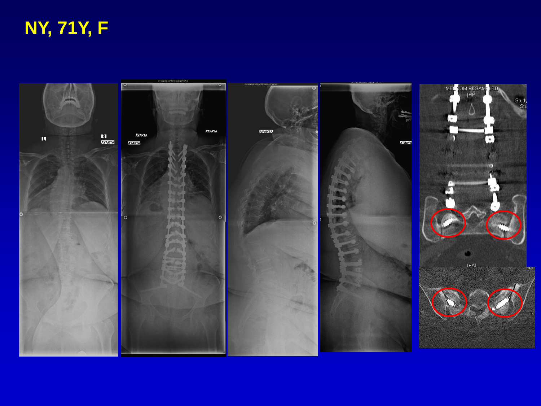### **NY, 71Y, F**

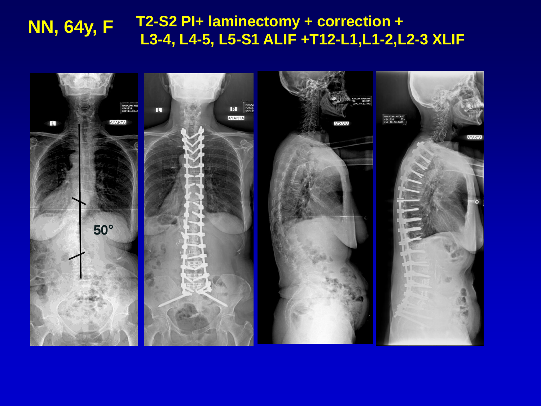#### **NN, 64y, F T2-S2 PI+ laminectomy + correction <sup>+</sup> L3-4, L4-5, L5-S1 ALIF +T12-L1,L1-2,L2-3 XLIF**

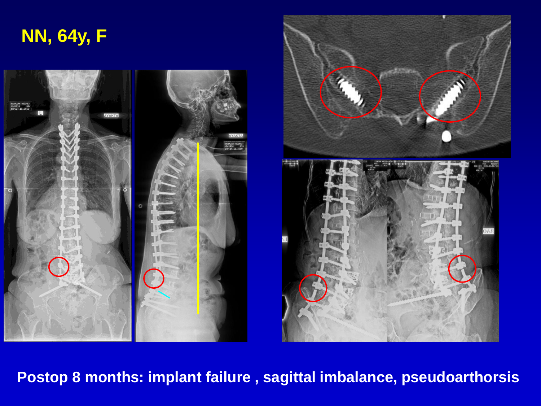



**Postop 8 months: implant failure , sagittal imbalance, pseudoarthorsis**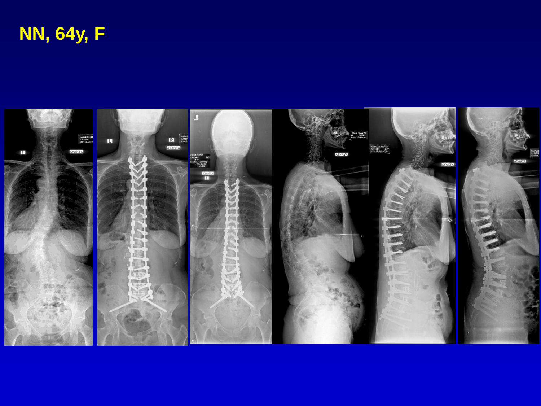**NN, 64y, F**